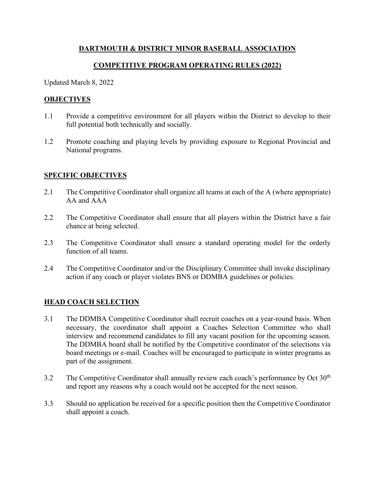# **DARTMOUTH & DISTRICT MINOR BASEBALL ASSOCIATION**

# **COMPETITIVE PROGRAM OPERATING RULES (2022)**

Updated March 8, 2022

### **OBJECTIVES**

- 1.1 Provide a competitive environment for all players within the District to develop to their full potential both technically and socially.
- 1.2 Promote coaching and playing levels by providing exposure to Regional Provincial and National programs.

### **SPECIFIC OBJECTIVES**

- 2.1 The Competitive Coordinator shall organize all teams at each of the A (where appropriate) AA and AAA
- 2.2 The Competitive Coordinator shall ensure that all players within the District have a fair chance at being selected.
- 2.3 The Competitive Coordinator shall ensure a standard operating model for the orderly function of all teams.
- 2.4 The Competitive Coordinator and/or the Disciplinary Committee shall invoke disciplinary action if any coach or player violates BNS or DDMBA guidelines or policies.

### **HEAD COACH SELECTION**

- 3.1 The DDMBA Competitive Coordinator shall recruit coaches on a year-round basis. When necessary, the coordinator shall appoint a Coaches Selection Committee who shall interview and recommend candidates to fill any vacant position for the upcoming season. The DDMBA board shall be notified by the Competitive coordinator of the selections via board meetings or e-mail. Coaches will be encouraged to participate in winter programs as part of the assignment.
- $3.2$  The Competitive Coordinator shall annually review each coach's performance by Oct  $30<sup>th</sup>$ and report any reasons why a coach would not be accepted for the next season.
- 3.3 Should no application be received for a specific position then the Competitive Coordinator shall appoint a coach.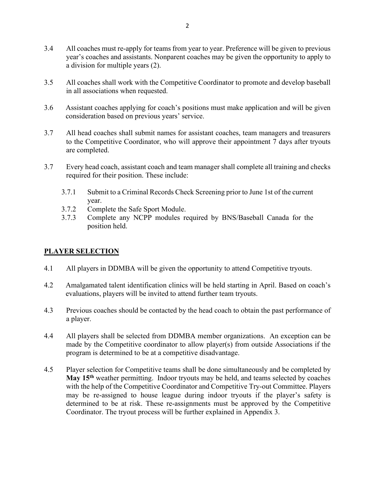- 3.4 All coaches must re-apply for teams from year to year. Preference will be given to previous year's coaches and assistants. Nonparent coaches may be given the opportunity to apply to a division for multiple years (2).
- 3.5 All coaches shall work with the Competitive Coordinator to promote and develop baseball in all associations when requested.
- 3.6 Assistant coaches applying for coach's positions must make application and will be given consideration based on previous years' service.
- 3.7 All head coaches shall submit names for assistant coaches, team managers and treasurers to the Competitive Coordinator, who will approve their appointment 7 days after tryouts are completed.
- 3.7 Every head coach, assistant coach and team manager shall complete all training and checks required for their position. These include:
	- 3.7.1 Submit to a Criminal Records Check Screening prior to June 1st of the current year.
	- 3.7.2 Complete the Safe Sport Module.
	- 3.7.3 Complete any NCPP modules required by BNS/Baseball Canada for the position held.

### **PLAYER SELECTION**

- 4.1 All players in DDMBA will be given the opportunity to attend Competitive tryouts.
- 4.2 Amalgamated talent identification clinics will be held starting in April. Based on coach's evaluations, players will be invited to attend further team tryouts.
- 4.3 Previous coaches should be contacted by the head coach to obtain the past performance of a player.
- 4.4 All players shall be selected from DDMBA member organizations. An exception can be made by the Competitive coordinator to allow player(s) from outside Associations if the program is determined to be at a competitive disadvantage.
- 4.5 Player selection for Competitive teams shall be done simultaneously and be completed by **May 15th** weather permitting. Indoor tryouts may be held, and teams selected by coaches with the help of the Competitive Coordinator and Competitive Try-out Committee. Players may be re-assigned to house league during indoor tryouts if the player's safety is determined to be at risk. These re-assignments must be approved by the Competitive Coordinator. The tryout process will be further explained in Appendix 3.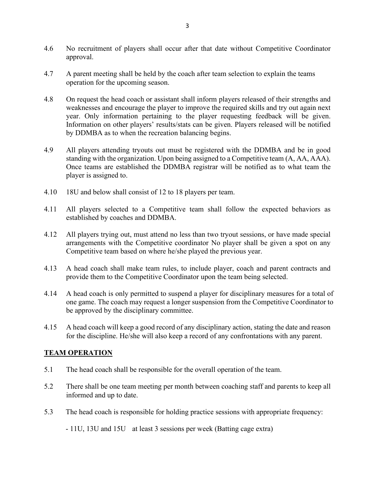- 4.6 No recruitment of players shall occur after that date without Competitive Coordinator approval.
- 4.7 A parent meeting shall be held by the coach after team selection to explain the teams operation for the upcoming season.
- 4.8 On request the head coach or assistant shall inform players released of their strengths and weaknesses and encourage the player to improve the required skills and try out again next year. Only information pertaining to the player requesting feedback will be given. Information on other players' results/stats can be given. Players released will be notified by DDMBA as to when the recreation balancing begins.
- 4.9 All players attending tryouts out must be registered with the DDMBA and be in good standing with the organization. Upon being assigned to a Competitive team (A, AA, AAA). Once teams are established the DDMBA registrar will be notified as to what team the player is assigned to.
- 4.10 18U and below shall consist of 12 to 18 players per team.
- 4.11 All players selected to a Competitive team shall follow the expected behaviors as established by coaches and DDMBA.
- 4.12 All players trying out, must attend no less than two tryout sessions, or have made special arrangements with the Competitive coordinator No player shall be given a spot on any Competitive team based on where he/she played the previous year.
- 4.13 A head coach shall make team rules, to include player, coach and parent contracts and provide them to the Competitive Coordinator upon the team being selected.
- 4.14 A head coach is only permitted to suspend a player for disciplinary measures for a total of one game. The coach may request a longer suspension from the Competitive Coordinator to be approved by the disciplinary committee.
- 4.15 A head coach will keep a good record of any disciplinary action, stating the date and reason for the discipline. He/she will also keep a record of any confrontations with any parent.

#### **TEAM OPERATION**

- 5.1 The head coach shall be responsible for the overall operation of the team.
- 5.2 There shall be one team meeting per month between coaching staff and parents to keep all informed and up to date.
- 5.3 The head coach is responsible for holding practice sessions with appropriate frequency:

- 11U, 13U and 15U at least 3 sessions per week (Batting cage extra)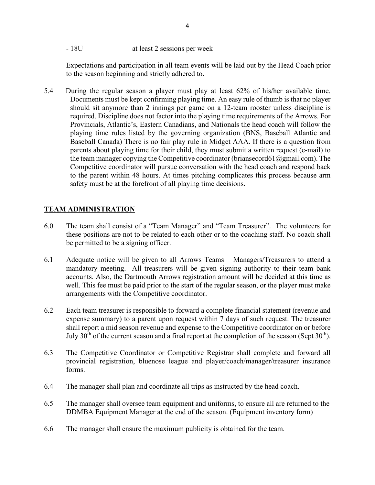- 18U at least 2 sessions per week

Expectations and participation in all team events will be laid out by the Head Coach prior to the season beginning and strictly adhered to.

5.4 During the regular season a player must play at least 62% of his/her available time. Documents must be kept confirming playing time. An easy rule of thumb is that no player should sit anymore than 2 innings per game on a 12-team rooster unless discipline is required. Discipline does not factor into the playing time requirements of the Arrows. For Provincials, Atlantic's, Eastern Canadians, and Nationals the head coach will follow the playing time rules listed by the governing organization (BNS, Baseball Atlantic and Baseball Canada) There is no fair play rule in Midget AAA. If there is a question from parents about playing time for their child, they must submit a written request (e-mail) to the team manager copying the Competitive coordinator (briansecord61 $@g$ gmail.com). The Competitive coordinator will pursue conversation with the head coach and respond back to the parent within 48 hours. At times pitching complicates this process because arm safety must be at the forefront of all playing time decisions.

# **TEAM ADMINISTRATION**

- 6.0 The team shall consist of a "Team Manager" and "Team Treasurer". The volunteers for these positions are not to be related to each other or to the coaching staff. No coach shall be permitted to be a signing officer.
- 6.1 Adequate notice will be given to all Arrows Teams Managers/Treasurers to attend a mandatory meeting. All treasurers will be given signing authority to their team bank accounts. Also, the Dartmouth Arrows registration amount will be decided at this time as well. This fee must be paid prior to the start of the regular season, or the player must make arrangements with the Competitive coordinator.
- 6.2 Each team treasurer is responsible to forward a complete financial statement (revenue and expense summary) to a parent upon request within 7 days of such request. The treasurer shall report a mid season revenue and expense to the Competitive coordinator on or before July 30<sup>th</sup> of the current season and a final report at the completion of the season (Sept 30<sup>th</sup>).
- 6.3 The Competitive Coordinator or Competitive Registrar shall complete and forward all provincial registration, bluenose league and player/coach/manager/treasurer insurance forms.
- 6.4 The manager shall plan and coordinate all trips as instructed by the head coach.
- 6.5 The manager shall oversee team equipment and uniforms, to ensure all are returned to the DDMBA Equipment Manager at the end of the season. (Equipment inventory form)
- 6.6 The manager shall ensure the maximum publicity is obtained for the team.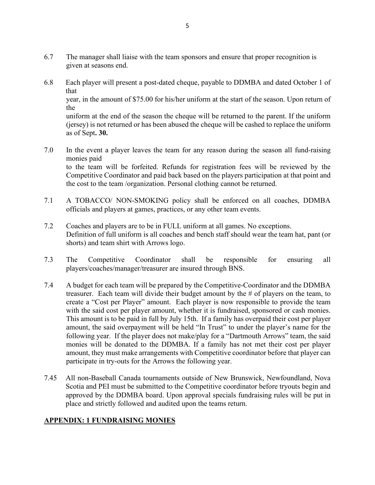- 6.7 The manager shall liaise with the team sponsors and ensure that proper recognition is given at seasons end.
- 6.8 Each player will present a post-dated cheque, payable to DDMBA and dated October 1 of that year, in the amount of \$75.00 for his/her uniform at the start of the season. Upon return of the uniform at the end of the season the cheque will be returned to the parent. If the uniform (jersey) is not returned or has been abused the cheque will be cashed to replace the uniform as of Sept**. 30.**
- 7.0 In the event a player leaves the team for any reason during the season all fund-raising monies paid to the team will be forfeited. Refunds for registration fees will be reviewed by the Competitive Coordinator and paid back based on the players participation at that point and the cost to the team /organization. Personal clothing cannot be returned.
- 7.1 A TOBACCO/ NON-SMOKING policy shall be enforced on all coaches, DDMBA officials and players at games, practices, or any other team events.
- 7.2 Coaches and players are to be in FULL uniform at all games. No exceptions. Definition of full uniform is all coaches and bench staff should wear the team hat, pant (or shorts) and team shirt with Arrows logo.
- 7.3 The Competitive Coordinator shall be responsible for ensuring all players/coaches/manager/treasurer are insured through BNS.
- 7.4 A budget for each team will be prepared by the Competitive-Coordinator and the DDMBA treasurer. Each team will divide their budget amount by the # of players on the team, to create a "Cost per Player" amount. Each player is now responsible to provide the team with the said cost per player amount, whether it is fundraised, sponsored or cash monies. This amount is to be paid in full by July 15th. If a family has overpaid their cost per player amount, the said overpayment will be held "In Trust" to under the player's name for the following year. If the player does not make/play for a "Dartmouth Arrows" team, the said monies will be donated to the DDMBA. If a family has not met their cost per player amount, they must make arrangements with Competitive coordinator before that player can participate in try-outs for the Arrows the following year.
- 7.45 All non-Baseball Canada tournaments outside of New Brunswick, Newfoundland, Nova Scotia and PEI must be submitted to the Competitive coordinator before tryouts begin and approved by the DDMBA board. Upon approval specials fundraising rules will be put in place and strictly followed and audited upon the teams return.

### **APPENDIX: 1 FUNDRAISING MONIES**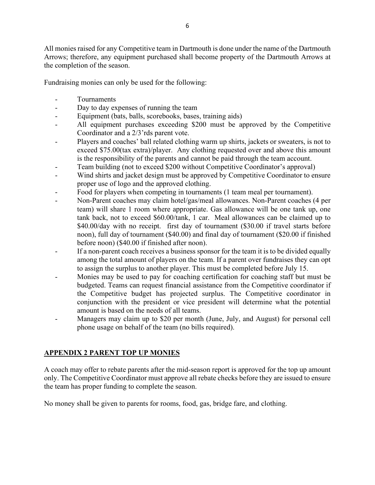All monies raised for any Competitive team in Dartmouth is done under the name of the Dartmouth Arrows; therefore, any equipment purchased shall become property of the Dartmouth Arrows at the completion of the season.

Fundraising monies can only be used for the following:

- Tournaments
- Day to day expenses of running the team
- Equipment (bats, balls, scorebooks, bases, training aids)
- All equipment purchases exceeding \$200 must be approved by the Competitive Coordinator and a 2/3'rds parent vote.
- Players and coaches' ball related clothing warm up shirts, jackets or sweaters, is not to exceed \$75.00(tax extra)/player. Any clothing requested over and above this amount is the responsibility of the parents and cannot be paid through the team account.
- Team building (not to exceed \$200 without Competitive Coordinator's approval)
- Wind shirts and jacket design must be approved by Competitive Coordinator to ensure proper use of logo and the approved clothing.
- Food for players when competing in tournaments (1 team meal per tournament).
- Non-Parent coaches may claim hotel/gas/meal allowances. Non-Parent coaches (4 per team) will share 1 room where appropriate. Gas allowance will be one tank up, one tank back, not to exceed \$60.00/tank, 1 car. Meal allowances can be claimed up to \$40.00/day with no receipt. first day of tournament (\$30.00 if travel starts before noon), full day of tournament (\$40.00) and final day of tournament (\$20.00 if finished before noon) (\$40.00 if finished after noon).
- If a non-parent coach receives a business sponsor for the team it is to be divided equally among the total amount of players on the team. If a parent over fundraises they can opt to assign the surplus to another player. This must be completed before July 15.
- Monies may be used to pay for coaching certification for coaching staff but must be budgeted. Teams can request financial assistance from the Competitive coordinator if the Competitive budget has projected surplus. The Competitive coordinator in conjunction with the president or vice president will determine what the potential amount is based on the needs of all teams.
- Managers may claim up to \$20 per month (June, July, and August) for personal cell phone usage on behalf of the team (no bills required).

# **APPENDIX 2 PARENT TOP UP MONIES**

A coach may offer to rebate parents after the mid-season report is approved for the top up amount only. The Competitive Coordinator must approve all rebate checks before they are issued to ensure the team has proper funding to complete the season.

No money shall be given to parents for rooms, food, gas, bridge fare, and clothing.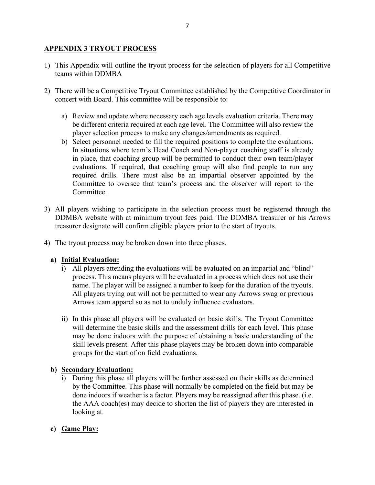### **APPENDIX 3 TRYOUT PROCESS**

- 1) This Appendix will outline the tryout process for the selection of players for all Competitive teams within DDMBA
- 2) There will be a Competitive Tryout Committee established by the Competitive Coordinator in concert with Board. This committee will be responsible to:
	- a) Review and update where necessary each age levels evaluation criteria. There may be different criteria required at each age level. The Committee will also review the player selection process to make any changes/amendments as required.
	- b) Select personnel needed to fill the required positions to complete the evaluations. In situations where team's Head Coach and Non-player coaching staff is already in place, that coaching group will be permitted to conduct their own team/player evaluations. If required, that coaching group will also find people to run any required drills. There must also be an impartial observer appointed by the Committee to oversee that team's process and the observer will report to the Committee.
- 3) All players wishing to participate in the selection process must be registered through the DDMBA website with at minimum tryout fees paid. The DDMBA treasurer or his Arrows treasurer designate will confirm eligible players prior to the start of tryouts.
- 4) The tryout process may be broken down into three phases.

#### **a) Initial Evaluation:**

- i) All players attending the evaluations will be evaluated on an impartial and "blind" process. This means players will be evaluated in a process which does not use their name. The player will be assigned a number to keep for the duration of the tryouts. All players trying out will not be permitted to wear any Arrows swag or previous Arrows team apparel so as not to unduly influence evaluators.
- ii) In this phase all players will be evaluated on basic skills. The Tryout Committee will determine the basic skills and the assessment drills for each level. This phase may be done indoors with the purpose of obtaining a basic understanding of the skill levels present. After this phase players may be broken down into comparable groups for the start of on field evaluations.

#### **b) Secondary Evaluation:**

i) During this phase all players will be further assessed on their skills as determined by the Committee. This phase will normally be completed on the field but may be done indoors if weather is a factor. Players may be reassigned after this phase. (i.e. the AAA coach(es) may decide to shorten the list of players they are interested in looking at.

### **c) Game Play:**